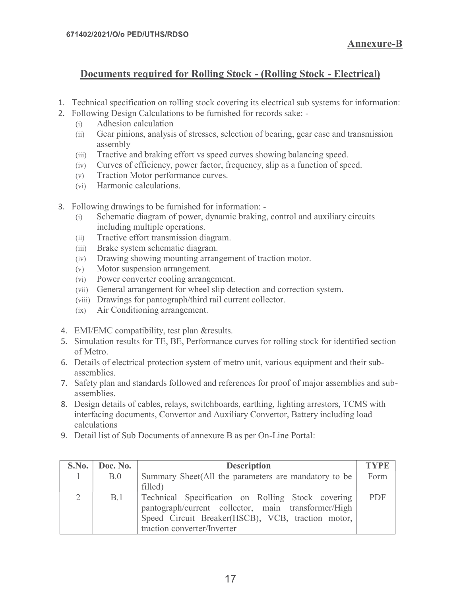## Documents required for Rolling Stock - (Rolling Stock - Electrical)

- 1. Technical specification on rolling stock covering its electrical sub systems for information:
- 2. Following Design Calculations to be furnished for records sake:
	- (i) Adhesion calculation
	- (ii) Gear pinions, analysis of stresses, selection of bearing, gear case and transmission assembly
	- (iii) Tractive and braking effort vs speed curves showing balancing speed.
	- (iv) Curves of efficiency, power factor, frequency, slip as a function of speed.
	- (v) Traction Motor performance curves.
	- (vi) Harmonic calculations.
- 3. Following drawings to be furnished for information:
	- (i) Schematic diagram of power, dynamic braking, control and auxiliary circuits including multiple operations.
	- (ii) Tractive effort transmission diagram.
	- (iii) Brake system schematic diagram.
	- (iv) Drawing showing mounting arrangement of traction motor.
	- (v) Motor suspension arrangement.
	- (vi) Power converter cooling arrangement.
	- (vii) General arrangement for wheel slip detection and correction system.
	- (viii) Drawings for pantograph/third rail current collector.
	- (ix) Air Conditioning arrangement.
- 4. EMI/EMC compatibility, test plan &results.
- 5. Simulation results for TE, BE, Performance curves for rolling stock for identified section of Metro.
- 6. Details of electrical protection system of metro unit, various equipment and their subassemblies.
- 7. Safety plan and standards followed and references for proof of major assemblies and subassemblies.
- 8. Design details of cables, relays, switchboards, earthing, lighting arrestors, TCMS with interfacing documents, Convertor and Auxiliary Convertor, Battery including load calculations (iii) Brake system schematic diagram.<br>
(iv) Drawing showing mounting arrangement of traction motor.<br>
(v) Dover converter cooling arrangement.<br>
(vii) General arrangement for wheel slip detection and correction system.<br>
(ii
- 

| 4. EMI/EMC compatibility, test plan & results.<br>5. Simulation results for TE, BE, Performance curves for rolling stock for identified section<br>of Metro.<br>6. Details of electrical protection system of metro unit, various equipment and their sub-<br>assemblies. |  |
|---------------------------------------------------------------------------------------------------------------------------------------------------------------------------------------------------------------------------------------------------------------------------|--|
|                                                                                                                                                                                                                                                                           |  |
|                                                                                                                                                                                                                                                                           |  |
|                                                                                                                                                                                                                                                                           |  |
| 7. Safety plan and standards followed and references for proof of major assemblies and sub-<br>assemblies.                                                                                                                                                                |  |
| 8. Design details of cables, relays, switchboards, earthing, lighting arrestors, TCMS with<br>interfacing documents, Convertor and Auxiliary Convertor, Battery including load<br>calculations                                                                            |  |
| 9. Detail list of Sub Documents of annexure B as per On-Line Portal:                                                                                                                                                                                                      |  |
| <b>TYPE</b><br>S.No.<br>Doc. No.<br><b>Description</b>                                                                                                                                                                                                                    |  |
| Summary Sheet(All the parameters are mandatory to be<br>B.0<br>Form<br>1<br>filled)                                                                                                                                                                                       |  |
| $\overline{2}$<br>B.1<br>PDF<br>Technical Specification on Rolling Stock covering<br>pantograph/current collector, main transformer/High<br>Speed Circuit Breaker(HSCB), VCB, traction motor,<br>traction converter/Inverter                                              |  |